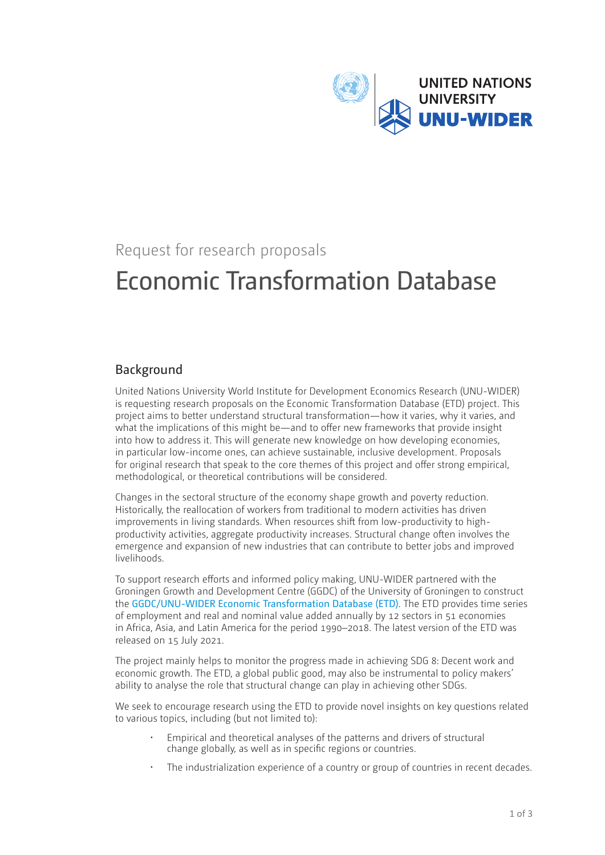

# Request for research proposals

# Economic Transformation Database

## Background

United Nations University World Institute for Development Economics Research (UNU-WIDER) is requesting research proposals on the Economic Transformation Database (ETD) project. This project aims to better understand structural transformation—how it varies, why it varies, and what the implications of this might be—and to offer new frameworks that provide insight into how to address it. This will generate new knowledge on how developing economies, in particular low-income ones, can achieve sustainable, inclusive development. Proposals for original research that speak to the core themes of this project and offer strong empirical, methodological, or theoretical contributions will be considered.

Changes in the sectoral structure of the economy shape growth and poverty reduction. Historically, the reallocation of workers from traditional to modern activities has driven improvements in living standards. When resources shift from low-productivity to highproductivity activities, aggregate productivity increases. Structural change often involves the emergence and expansion of new industries that can contribute to better jobs and improved livelihoods.

To support research efforts and informed policy making, UNU-WIDER partnered with the Groningen Growth and Development Centre (GGDC) of the University of Groningen to construct the [GGDC/UNU-WIDER Economic Transformation Database \(ETD\)](https://www.wider.unu.edu/node/238299). The ETD provides time series of employment and real and nominal value added annually by 12 sectors in 51 economies in Africa, Asia, and Latin America for the period 1990–2018. The latest version of the ETD was released on 15 July 2021.

The project mainly helps to monitor the progress made in achieving SDG 8: Decent work and economic growth. The ETD, a global public good, may also be instrumental to policy makers' ability to analyse the role that structural change can play in achieving other SDGs.

We seek to encourage research using the ETD to provide novel insights on key questions related to various topics, including (but not limited to):

- Empirical and theoretical analyses of the patterns and drivers of structural change globally, as well as in specific regions or countries.
- The industrialization experience of a country or group of countries in recent decades.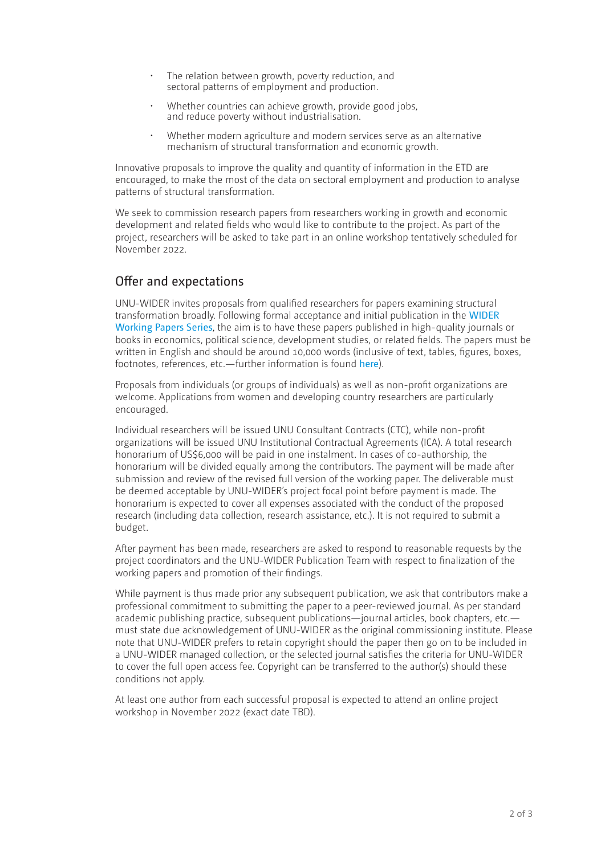- The relation between growth, poverty reduction, and sectoral patterns of employment and production.
- Whether countries can achieve growth, provide good jobs, and reduce poverty without industrialisation.
- Whether modern agriculture and modern services serve as an alternative mechanism of structural transformation and economic growth.

Innovative proposals to improve the quality and quantity of information in the ETD are encouraged, to make the most of the data on sectoral employment and production to analyse patterns of structural transformation.

We seek to commission research papers from researchers working in growth and economic development and related fields who would like to contribute to the project. As part of the project, researchers will be asked to take part in an online workshop tentatively scheduled for November 2022.

#### Offer and expectations

UNU-WIDER invites proposals from qualified researchers for papers examining structural transformation broadly. Following formal acceptance and initial publication in the [WIDER](https://www.wider.unu.edu/publications?f[]=biblio_type:Working+Paper&order=desc&sort=string_date)  [Working Papers Series](https://www.wider.unu.edu/publications?f[]=biblio_type:Working+Paper&order=desc&sort=string_date), the aim is to have these papers published in high-quality journals or books in economics, political science, development studies, or related fields. The papers must be written in English and should be around 10,000 words (inclusive of text, tables, figures, boxes, footnotes, references, etc.—further information is found [here](https://www.wider.unu.edu/node/75151#wp-series)).

Proposals from individuals (or groups of individuals) as well as non-profit organizations are welcome. Applications from women and developing country researchers are particularly encouraged.

Individual researchers will be issued UNU Consultant Contracts (CTC), while non-profit organizations will be issued UNU Institutional Contractual Agreements (ICA). A total research honorarium of US\$6,000 will be paid in one instalment. In cases of co-authorship, the honorarium will be divided equally among the contributors. The payment will be made after submission and review of the revised full version of the working paper. The deliverable must be deemed acceptable by UNU-WIDER's project focal point before payment is made. The honorarium is expected to cover all expenses associated with the conduct of the proposed research (including data collection, research assistance, etc.). It is not required to submit a budget.

After payment has been made, researchers are asked to respond to reasonable requests by the project coordinators and the UNU-WIDER Publication Team with respect to finalization of the working papers and promotion of their findings.

While payment is thus made prior any subsequent publication, we ask that contributors make a professional commitment to submitting the paper to a peer-reviewed journal. As per standard academic publishing practice, subsequent publications—journal articles, book chapters, etc. must state due acknowledgement of UNU-WIDER as the original commissioning institute. Please note that UNU-WIDER prefers to retain copyright should the paper then go on to be included in a UNU-WIDER managed collection, or the selected journal satisfies the criteria for UNU-WIDER to cover the full open access fee. Copyright can be transferred to the author(s) should these conditions not apply.

At least one author from each successful proposal is expected to attend an online project workshop in November 2022 (exact date TBD).